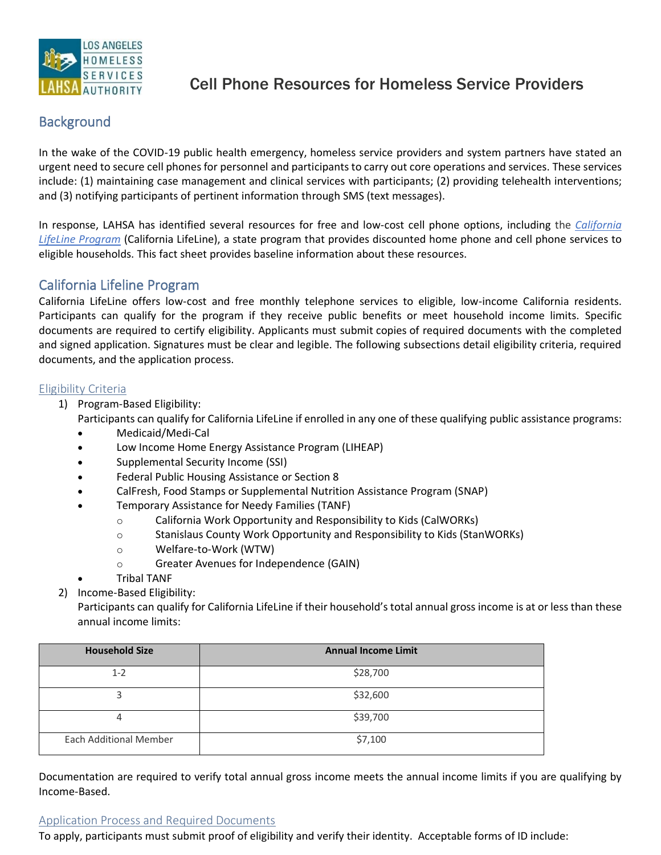

# Cell Phone Resources for Homeless Service Providers

# **Background**

In the wake of the COVID-19 public health emergency, homeless service providers and system partners have stated an urgent need to secure cell phones for personnel and participants to carry out core operations and services. These services include: (1) maintaining case management and clinical services with participants; (2) providing telehealth interventions; and (3) notifying participants of pertinent information through SMS (text messages).

In response, LAHSA has identified several resources for free and low-cost cell phone options, including the *[California](https://www.californialifeline.com/en) [LifeLine Program](https://www.californialifeline.com/en)* (California LifeLine), a state program that provides discounted home phone and cell phone services to eligible households. This fact sheet provides baseline information about these resources.

## California Lifeline Program

California LifeLine offers low-cost and free monthly telephone services to eligible, low-income California residents. Participants can qualify for the program if they receive public benefits or meet household income limits. Specific documents are required to certify eligibility. Applicants must submit copies of required documents with the completed and signed application. Signatures must be clear and legible. The following subsections detail eligibility criteria, required documents, and the application process.

#### Eligibility Criteria

1) Program-Based Eligibility:

Participants can qualify for California LifeLine if enrolled in any one of these qualifying public assistance programs:

- Medicaid/Medi-Cal
- Low Income Home Energy Assistance Program (LIHEAP)
- Supplemental Security Income (SSI)
- Federal Public Housing Assistance or Section 8
- CalFresh, Food Stamps or Supplemental Nutrition Assistance Program (SNAP)
- Temporary Assistance for Needy Families (TANF)
	- o California Work Opportunity and Responsibility to Kids (CalWORKs)
	- o Stanislaus County Work Opportunity and Responsibility to Kids (StanWORKs)
	- o Welfare-to-Work (WTW)
	- o Greater Avenues for Independence (GAIN)
- Tribal TANF
- 2) Income-Based Eligibility:

Participants can qualify for California LifeLine if their household's total annual gross income is at or less than these annual income limits:

| <b>Household Size</b>         | <b>Annual Income Limit</b> |
|-------------------------------|----------------------------|
| $1 - 2$                       | \$28,700                   |
|                               | \$32,600                   |
|                               | \$39,700                   |
| <b>Each Additional Member</b> | \$7,100                    |

Documentation are required to verify total annual gross income meets the annual income limits if you are qualifying by Income-Based.

#### Application Process and Required Documents

To apply, participants must submit proof of eligibility and verify their identity. Acceptable forms of ID include: